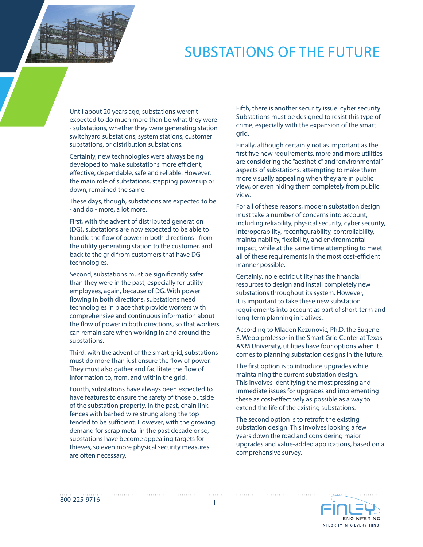## SUBSTATIONS OF THE FUTURE

Until about 20 years ago, substations weren't expected to do much more than be what they were - substations, whether they were generating station switchyard substations, system stations, customer substations, or distribution substations.

Certainly, new technologies were always being developed to make substations more efficient, effective, dependable, safe and reliable. However, the main role of substations, stepping power up or down, remained the same.

These days, though, substations are expected to be - and do - more, a lot more.

First, with the advent of distributed generation (DG), substations are now expected to be able to handle the flow of power in both directions - from the utility generating station to the customer, and back to the grid from customers that have DG technologies.

Second, substations must be significantly safer than they were in the past, especially for utility employees, again, because of DG. With power flowing in both directions, substations need technologies in place that provide workers with comprehensive and continuous information about the flow of power in both directions, so that workers can remain safe when working in and around the substations.

Third, with the advent of the smart grid, substations must do more than just ensure the flow of power. They must also gather and facilitate the flow of information to, from, and within the grid.

Fourth, substations have always been expected to have features to ensure the safety of those outside of the substation property. In the past, chain link fences with barbed wire strung along the top tended to be sufficient. However, with the growing demand for scrap metal in the past decade or so, substations have become appealing targets for thieves, so even more physical security measures are often necessary.

Fifth, there is another security issue: cyber security. Substations must be designed to resist this type of crime, especially with the expansion of the smart grid.

Finally, although certainly not as important as the first five new requirements, more and more utilities are considering the "aesthetic" and "environmental" aspects of substations, attempting to make them more visually appealing when they are in public view, or even hiding them completely from public view.

For all of these reasons, modern substation design must take a number of concerns into account, including reliability, physical security, cyber security, interoperability, reconfigurability, controllability, maintainability, flexibility, and environmental impact, while at the same time attempting to meet all of these requirements in the most cost-efficient manner possible.

Certainly, no electric utility has the financial resources to design and install completely new substations throughout its system. However, it is important to take these new substation requirements into account as part of short-term and long-term planning initiatives.

According to Mladen Kezunovic, Ph.D. the Eugene E. Webb professor in the Smart Grid Center at Texas A&M University, utilities have four options when it comes to planning substation designs in the future.

The first option is to introduce upgrades while maintaining the current substation design. This involves identifying the most pressing and immediate issues for upgrades and implementing these as cost-effectively as possible as a way to extend the life of the existing substations.

The second option is to retrofit the existing substation design. This involves looking a few years down the road and considering major upgrades and value-added applications, based on a comprehensive survey.